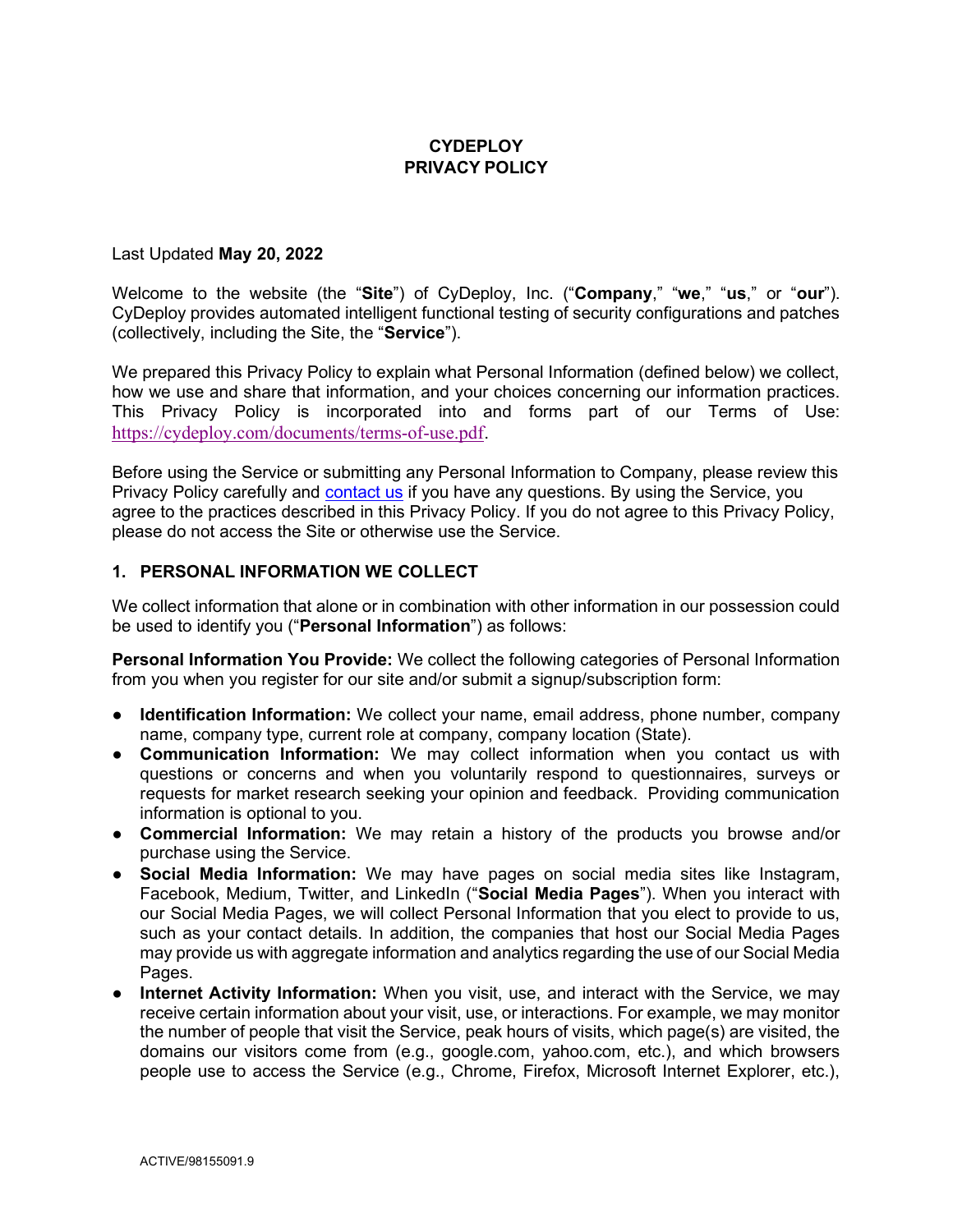## **CYDEPLOY** PRIVACY POLICY

#### Last Updated May 20, 2022

Welcome to the website (the "Site") of CyDeploy, Inc. ("Company," "we," "us," or "our"). CyDeploy provides automated intelligent functional testing of security configurations and patches (collectively, including the Site, the "Service").

We prepared this Privacy Policy to explain what Personal Information (defined below) we collect, how we use and share that information, and your choices concerning our information practices. This Privacy Policy is incorporated into and forms part of our Terms of Use: https://cydeploy.com/documents/terms-of-use.pdf.

Before using the Service or submitting any Personal Information to Company, please review this Privacy Policy carefully and contact us if you have any questions. By using the Service, you agree to the practices described in this Privacy Policy. If you do not agree to this Privacy Policy, please do not access the Site or otherwise use the Service.

#### 1. PERSONAL INFORMATION WE COLLECT

We collect information that alone or in combination with other information in our possession could be used to identify you ("Personal Information") as follows:

Personal Information You Provide: We collect the following categories of Personal Information from you when you register for our site and/or submit a signup/subscription form:

- Identification Information: We collect your name, email address, phone number, company name, company type, current role at company, company location (State).
- Communication Information: We may collect information when you contact us with questions or concerns and when you voluntarily respond to questionnaires, surveys or requests for market research seeking your opinion and feedback. Providing communication information is optional to you.
- Commercial Information: We may retain a history of the products you browse and/or purchase using the Service.
- Social Media Information: We may have pages on social media sites like Instagram, Facebook, Medium, Twitter, and LinkedIn ("Social Media Pages"). When you interact with our Social Media Pages, we will collect Personal Information that you elect to provide to us, such as your contact details. In addition, the companies that host our Social Media Pages may provide us with aggregate information and analytics regarding the use of our Social Media Pages.
- Internet Activity Information: When you visit, use, and interact with the Service, we may receive certain information about your visit, use, or interactions. For example, we may monitor the number of people that visit the Service, peak hours of visits, which page(s) are visited, the domains our visitors come from (e.g., google.com, yahoo.com, etc.), and which browsers people use to access the Service (e.g., Chrome, Firefox, Microsoft Internet Explorer, etc.),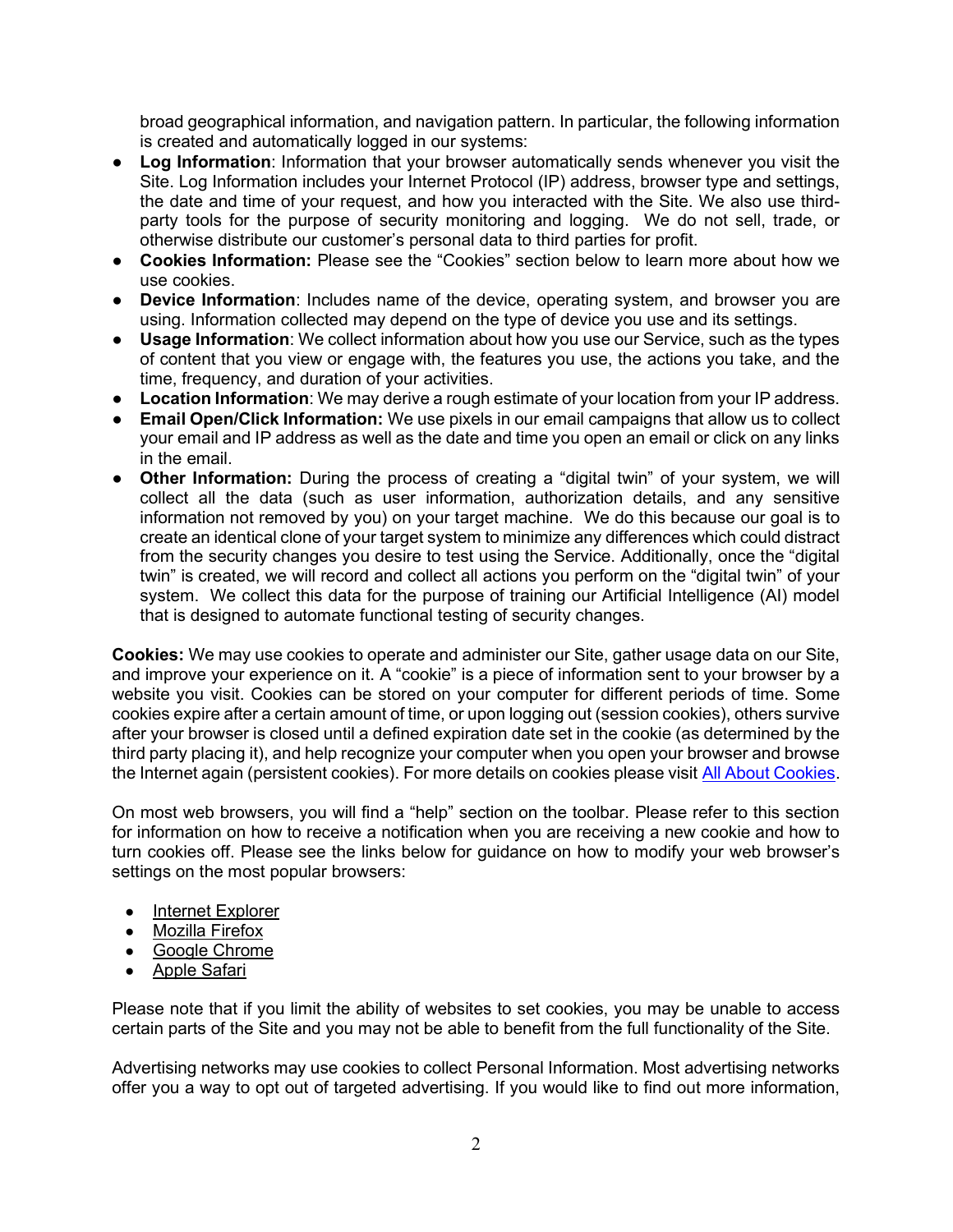broad geographical information, and navigation pattern. In particular, the following information is created and automatically logged in our systems:

- Log Information: Information that your browser automatically sends whenever you visit the Site. Log Information includes your Internet Protocol (IP) address, browser type and settings, the date and time of your request, and how you interacted with the Site. We also use thirdparty tools for the purpose of security monitoring and logging. We do not sell, trade, or otherwise distribute our customer's personal data to third parties for profit.
- Cookies Information: Please see the "Cookies" section below to learn more about how we use cookies.
- Device Information: Includes name of the device, operating system, and browser you are using. Information collected may depend on the type of device you use and its settings.
- Usage Information: We collect information about how you use our Service, such as the types of content that you view or engage with, the features you use, the actions you take, and the time, frequency, and duration of your activities.
- Location Information: We may derive a rough estimate of your location from your IP address.
- Email Open/Click Information: We use pixels in our email campaigns that allow us to collect your email and IP address as well as the date and time you open an email or click on any links in the email.
- Other Information: During the process of creating a "digital twin" of your system, we will collect all the data (such as user information, authorization details, and any sensitive information not removed by you) on your target machine. We do this because our goal is to create an identical clone of your target system to minimize any differences which could distract from the security changes you desire to test using the Service. Additionally, once the "digital twin" is created, we will record and collect all actions you perform on the "digital twin" of your system. We collect this data for the purpose of training our Artificial Intelligence (AI) model that is designed to automate functional testing of security changes.

Cookies: We may use cookies to operate and administer our Site, gather usage data on our Site, and improve your experience on it. A "cookie" is a piece of information sent to your browser by a website you visit. Cookies can be stored on your computer for different periods of time. Some cookies expire after a certain amount of time, or upon logging out (session cookies), others survive after your browser is closed until a defined expiration date set in the cookie (as determined by the third party placing it), and help recognize your computer when you open your browser and browse the Internet again (persistent cookies). For more details on cookies please visit All About Cookies.

On most web browsers, you will find a "help" section on the toolbar. Please refer to this section for information on how to receive a notification when you are receiving a new cookie and how to turn cookies off. Please see the links below for guidance on how to modify your web browser's settings on the most popular browsers:

- Internet Explorer
- Mozilla Firefox
- Google Chrome
- Apple Safari

Please note that if you limit the ability of websites to set cookies, you may be unable to access certain parts of the Site and you may not be able to benefit from the full functionality of the Site.

Advertising networks may use cookies to collect Personal Information. Most advertising networks offer you a way to opt out of targeted advertising. If you would like to find out more information,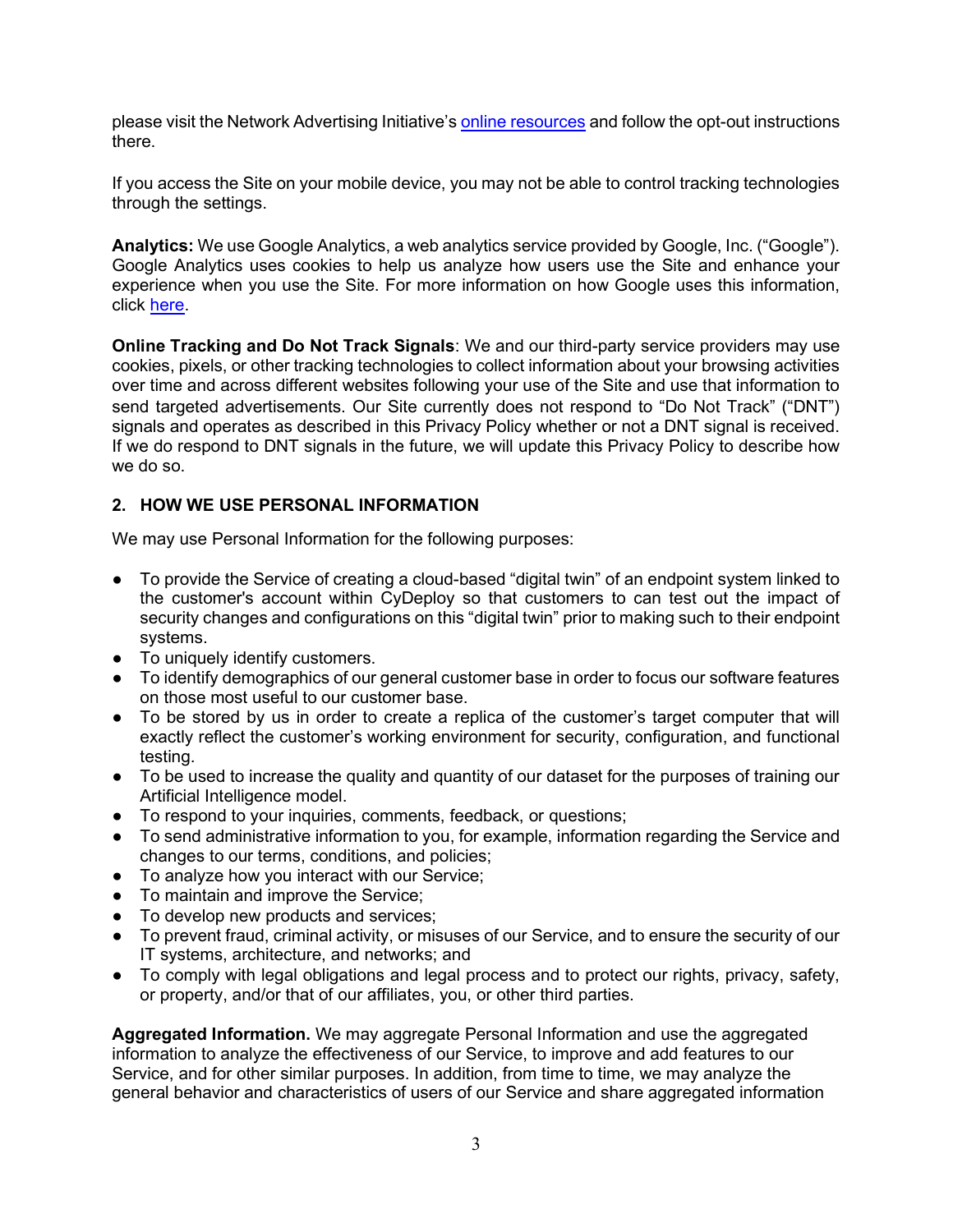please visit the Network Advertising Initiative's online resources and follow the opt-out instructions there.

If you access the Site on your mobile device, you may not be able to control tracking technologies through the settings.

Analytics: We use Google Analytics, a web analytics service provided by Google, Inc. ("Google"). Google Analytics uses cookies to help us analyze how users use the Site and enhance your experience when you use the Site. For more information on how Google uses this information, click here.

Online Tracking and Do Not Track Signals: We and our third-party service providers may use cookies, pixels, or other tracking technologies to collect information about your browsing activities over time and across different websites following your use of the Site and use that information to send targeted advertisements. Our Site currently does not respond to "Do Not Track" ("DNT") signals and operates as described in this Privacy Policy whether or not a DNT signal is received. If we do respond to DNT signals in the future, we will update this Privacy Policy to describe how we do so.

# 2. HOW WE USE PERSONAL INFORMATION

We may use Personal Information for the following purposes:

- To provide the Service of creating a cloud-based "digital twin" of an endpoint system linked to the customer's account within CyDeploy so that customers to can test out the impact of security changes and configurations on this "digital twin" prior to making such to their endpoint systems.
- To uniquely identify customers.
- To identify demographics of our general customer base in order to focus our software features on those most useful to our customer base.
- To be stored by us in order to create a replica of the customer's target computer that will exactly reflect the customer's working environment for security, configuration, and functional testing.
- To be used to increase the quality and quantity of our dataset for the purposes of training our Artificial Intelligence model.
- To respond to your inquiries, comments, feedback, or questions;
- To send administrative information to you, for example, information regarding the Service and changes to our terms, conditions, and policies;
- To analyze how you interact with our Service;
- To maintain and improve the Service:
- To develop new products and services;
- To prevent fraud, criminal activity, or misuses of our Service, and to ensure the security of our IT systems, architecture, and networks; and
- To comply with legal obligations and legal process and to protect our rights, privacy, safety, or property, and/or that of our affiliates, you, or other third parties.

Aggregated Information. We may aggregate Personal Information and use the aggregated information to analyze the effectiveness of our Service, to improve and add features to our Service, and for other similar purposes. In addition, from time to time, we may analyze the general behavior and characteristics of users of our Service and share aggregated information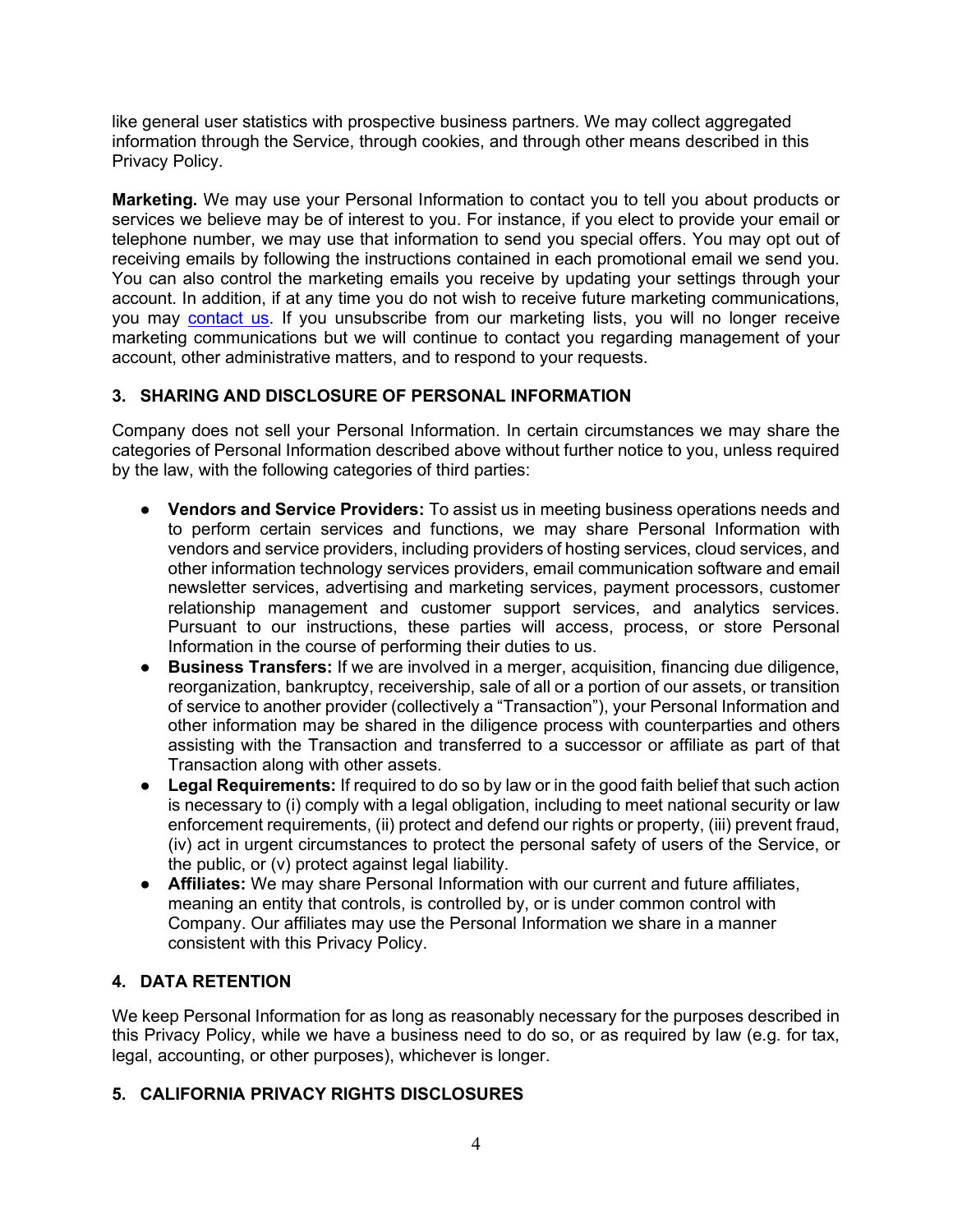like general user statistics with prospective business partners. We may collect aggregated information through the Service, through cookies, and through other means described in this Privacy Policy.

Marketing. We may use your Personal Information to contact you to tell you about products or services we believe may be of interest to you. For instance, if you elect to provide your email or telephone number, we may use that information to send you special offers. You may opt out of receiving emails by following the instructions contained in each promotional email we send you. You can also control the marketing emails you receive by updating your settings through your account. In addition, if at any time you do not wish to receive future marketing communications, you may contact us. If you unsubscribe from our marketing lists, you will no longer receive marketing communications but we will continue to contact you regarding management of your account, other administrative matters, and to respond to your requests.

# 3. SHARING AND DISCLOSURE OF PERSONAL INFORMATION

Company does not sell your Personal Information. In certain circumstances we may share the categories of Personal Information described above without further notice to you, unless required by the law, with the following categories of third parties:

- Vendors and Service Providers: To assist us in meeting business operations needs and to perform certain services and functions, we may share Personal Information with vendors and service providers, including providers of hosting services, cloud services, and other information technology services providers, email communication software and email newsletter services, advertising and marketing services, payment processors, customer relationship management and customer support services, and analytics services. Pursuant to our instructions, these parties will access, process, or store Personal Information in the course of performing their duties to us.
- Business Transfers: If we are involved in a merger, acquisition, financing due diligence, reorganization, bankruptcy, receivership, sale of all or a portion of our assets, or transition of service to another provider (collectively a "Transaction"), your Personal Information and other information may be shared in the diligence process with counterparties and others assisting with the Transaction and transferred to a successor or affiliate as part of that Transaction along with other assets.
- Legal Requirements: If required to do so by law or in the good faith belief that such action is necessary to (i) comply with a legal obligation, including to meet national security or law enforcement requirements, (ii) protect and defend our rights or property, (iii) prevent fraud, (iv) act in urgent circumstances to protect the personal safety of users of the Service, or the public, or (v) protect against legal liability.
- Affiliates: We may share Personal Information with our current and future affiliates, meaning an entity that controls, is controlled by, or is under common control with Company. Our affiliates may use the Personal Information we share in a manner consistent with this Privacy Policy.

# 4. DATA RETENTION

We keep Personal Information for as long as reasonably necessary for the purposes described in this Privacy Policy, while we have a business need to do so, or as required by law (e.g. for tax, legal, accounting, or other purposes), whichever is longer.

# 5. CALIFORNIA PRIVACY RIGHTS DISCLOSURES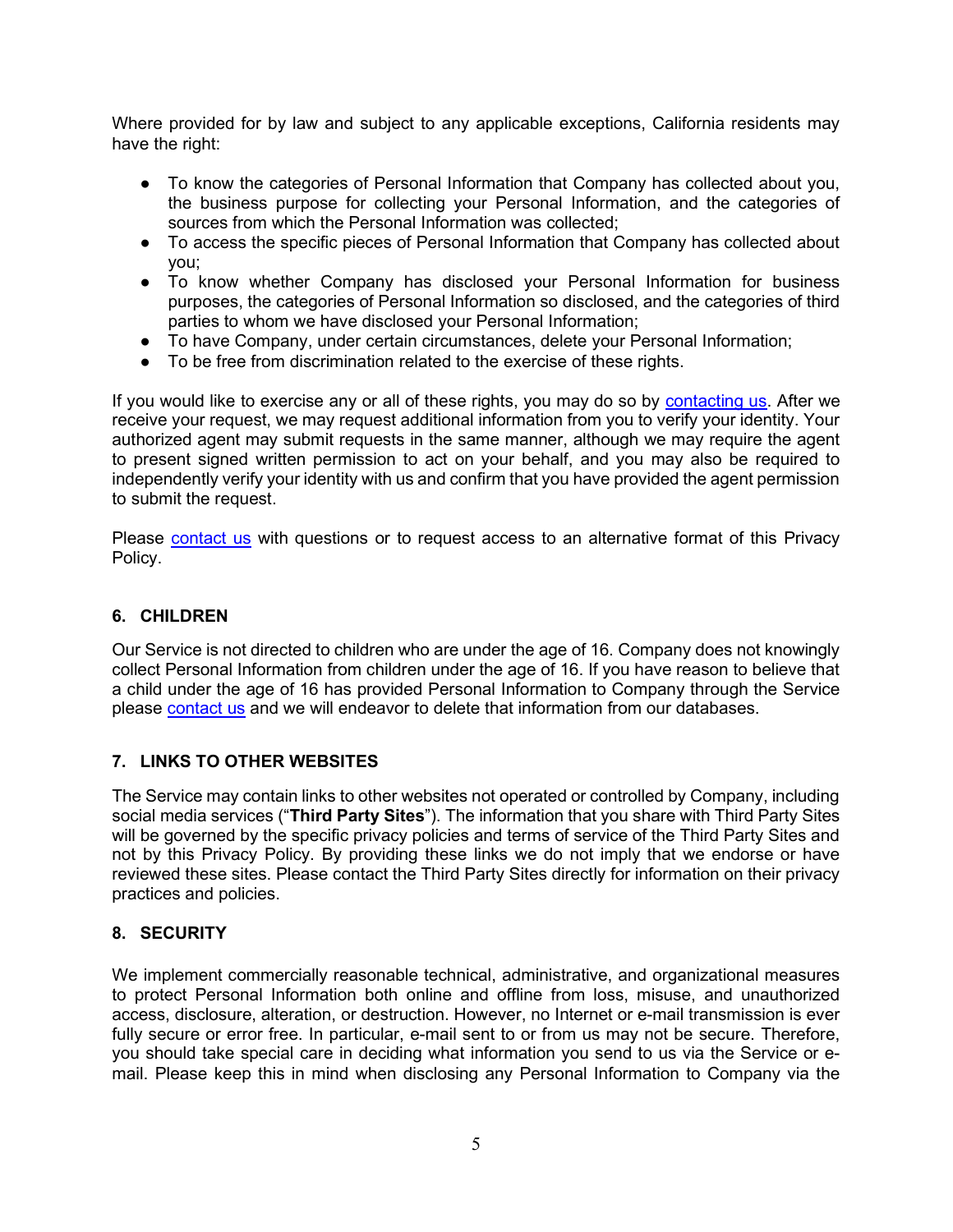Where provided for by law and subject to any applicable exceptions, California residents may have the right:

- To know the categories of Personal Information that Company has collected about you, the business purpose for collecting your Personal Information, and the categories of sources from which the Personal Information was collected;
- To access the specific pieces of Personal Information that Company has collected about you;
- To know whether Company has disclosed your Personal Information for business purposes, the categories of Personal Information so disclosed, and the categories of third parties to whom we have disclosed your Personal Information;
- To have Company, under certain circumstances, delete your Personal Information;
- To be free from discrimination related to the exercise of these rights.

If you would like to exercise any or all of these rights, you may do so by contacting us. After we receive your request, we may request additional information from you to verify your identity. Your authorized agent may submit requests in the same manner, although we may require the agent to present signed written permission to act on your behalf, and you may also be required to independently verify your identity with us and confirm that you have provided the agent permission to submit the request.

Please contact us with questions or to request access to an alternative format of this Privacy Policy.

## 6. CHILDREN

Our Service is not directed to children who are under the age of 16. Company does not knowingly collect Personal Information from children under the age of 16. If you have reason to believe that a child under the age of 16 has provided Personal Information to Company through the Service please contact us and we will endeavor to delete that information from our databases.

# 7. LINKS TO OTHER WEBSITES

The Service may contain links to other websites not operated or controlled by Company, including social media services ("Third Party Sites"). The information that you share with Third Party Sites will be governed by the specific privacy policies and terms of service of the Third Party Sites and not by this Privacy Policy. By providing these links we do not imply that we endorse or have reviewed these sites. Please contact the Third Party Sites directly for information on their privacy practices and policies.

#### 8. SECURITY

We implement commercially reasonable technical, administrative, and organizational measures to protect Personal Information both online and offline from loss, misuse, and unauthorized access, disclosure, alteration, or destruction. However, no Internet or e-mail transmission is ever fully secure or error free. In particular, e-mail sent to or from us may not be secure. Therefore, you should take special care in deciding what information you send to us via the Service or email. Please keep this in mind when disclosing any Personal Information to Company via the